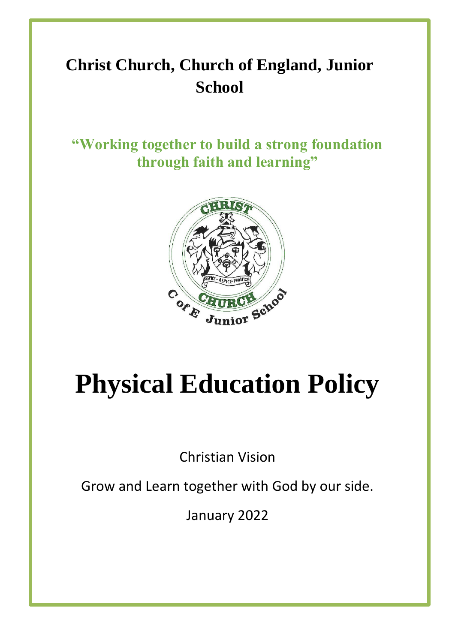# **Christ Church, Church of England, Junior School**

**"Working together to build a strong foundation through faith and learning"**



# **Physical Education Policy**

Christian Vision

Grow and Learn together with God by our side.

January 2022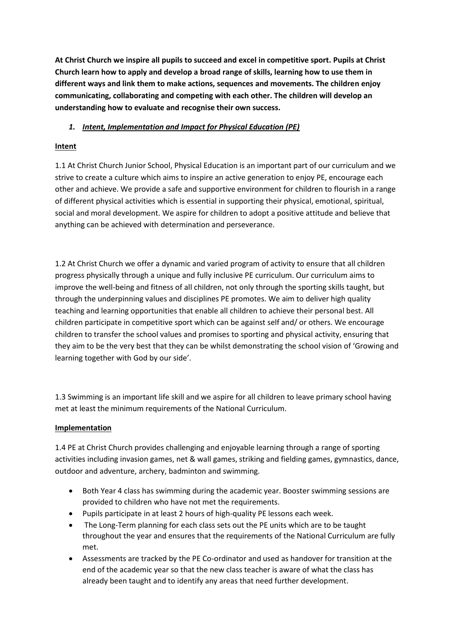**At Christ Church we inspire all pupils to succeed and excel in competitive sport. Pupils at Christ Church learn how to apply and develop a broad range of skills, learning how to use them in different ways and link them to make actions, sequences and movements. The children enjoy communicating, collaborating and competing with each other. The children will develop an understanding how to evaluate and recognise their own success.**

# *1. Intent, Implementation and Impact for Physical Education (PE)*

# **Intent**

1.1 At Christ Church Junior School, Physical Education is an important part of our curriculum and we strive to create a culture which aims to inspire an active generation to enjoy PE, encourage each other and achieve. We provide a safe and supportive environment for children to flourish in a range of different physical activities which is essential in supporting their physical, emotional, spiritual, social and moral development. We aspire for children to adopt a positive attitude and believe that anything can be achieved with determination and perseverance.

1.2 At Christ Church we offer a dynamic and varied program of activity to ensure that all children progress physically through a unique and fully inclusive PE curriculum. Our curriculum aims to improve the well-being and fitness of all children, not only through the sporting skills taught, but through the underpinning values and disciplines PE promotes. We aim to deliver high quality teaching and learning opportunities that enable all children to achieve their personal best. All children participate in competitive sport which can be against self and/ or others. We encourage children to transfer the school values and promises to sporting and physical activity, ensuring that they aim to be the very best that they can be whilst demonstrating the school vision of 'Growing and learning together with God by our side'.

1.3 Swimming is an important life skill and we aspire for all children to leave primary school having met at least the minimum requirements of the National Curriculum.

# **Implementation**

1.4 PE at Christ Church provides challenging and enjoyable learning through a range of sporting activities including invasion games, net & wall games, striking and fielding games, gymnastics, dance, outdoor and adventure, archery, badminton and swimming.

- Both Year 4 class has swimming during the academic year. Booster swimming sessions are provided to children who have not met the requirements.
- Pupils participate in at least 2 hours of high-quality PE lessons each week.
- The Long-Term planning for each class sets out the PE units which are to be taught throughout the year and ensures that the requirements of the National Curriculum are fully met.
- Assessments are tracked by the PE Co-ordinator and used as handover for transition at the end of the academic year so that the new class teacher is aware of what the class has already been taught and to identify any areas that need further development.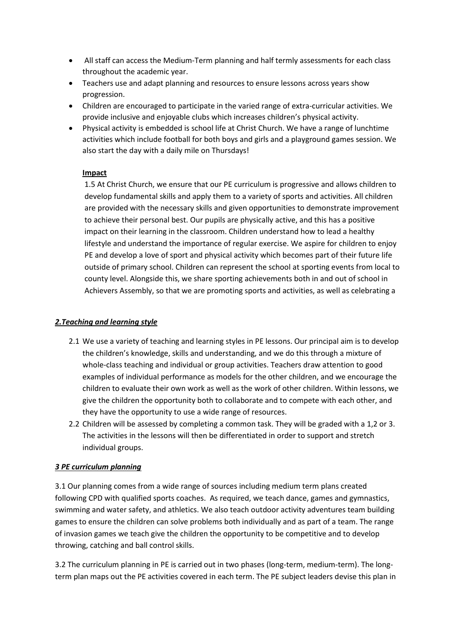- All staff can access the Medium-Term planning and half termly assessments for each class throughout the academic year.
- Teachers use and adapt planning and resources to ensure lessons across years show progression.
- Children are encouraged to participate in the varied range of extra-curricular activities. We provide inclusive and enjoyable clubs which increases children's physical activity.
- Physical activity is embedded is school life at Christ Church. We have a range of lunchtime activities which include football for both boys and girls and a playground games session. We also start the day with a daily mile on Thursdays!

# **Impact**

1.5 At Christ Church, we ensure that our PE curriculum is progressive and allows children to develop fundamental skills and apply them to a variety of sports and activities. All children are provided with the necessary skills and given opportunities to demonstrate improvement to achieve their personal best. Our pupils are physically active, and this has a positive impact on their learning in the classroom. Children understand how to lead a healthy lifestyle and understand the importance of regular exercise. We aspire for children to enjoy PE and develop a love of sport and physical activity which becomes part of their future life outside of primary school. Children can represent the school at sporting events from local to county level. Alongside this, we share sporting achievements both in and out of school in Achievers Assembly, so that we are promoting sports and activities, as well as celebrating a

# *2.Teaching and learning style*

- 2.1 We use a variety of teaching and learning styles in PE lessons. Our principal aim is to develop the children's knowledge, skills and understanding, and we do this through a mixture of whole-class teaching and individual or group activities. Teachers draw attention to good examples of individual performance as models for the other children, and we encourage the children to evaluate their own work as well as the work of other children. Within lessons, we give the children the opportunity both to collaborate and to compete with each other, and they have the opportunity to use a wide range of resources.
- 2.2 Children will be assessed by completing a common task. They will be graded with a 1,2 or 3. The activities in the lessons will then be differentiated in order to support and stretch individual groups.

# *3 PE curriculum planning*

3.1 Our planning comes from a wide range of sources including medium term plans created following CPD with qualified sports coaches. As required, we teach dance, games and gymnastics, swimming and water safety, and athletics. We also teach outdoor activity adventures team building games to ensure the children can solve problems both individually and as part of a team. The range of invasion games we teach give the children the opportunity to be competitive and to develop throwing, catching and ball control skills.

3.2 The curriculum planning in PE is carried out in two phases (long-term, medium-term). The longterm plan maps out the PE activities covered in each term. The PE subject leaders devise this plan in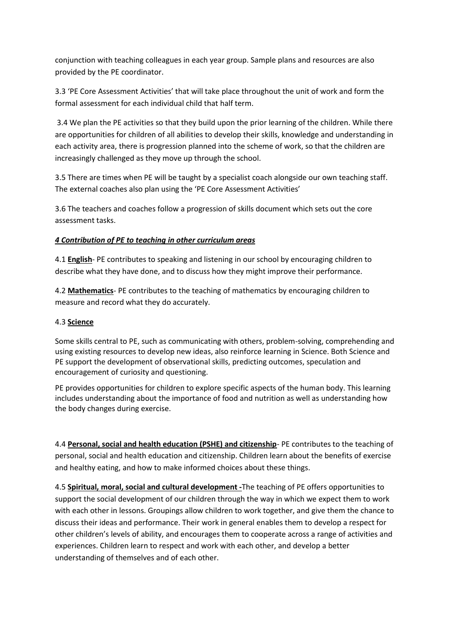conjunction with teaching colleagues in each year group. Sample plans and resources are also provided by the PE coordinator.

3.3 'PE Core Assessment Activities' that will take place throughout the unit of work and form the formal assessment for each individual child that half term.

3.4 We plan the PE activities so that they build upon the prior learning of the children. While there are opportunities for children of all abilities to develop their skills, knowledge and understanding in each activity area, there is progression planned into the scheme of work, so that the children are increasingly challenged as they move up through the school.

3.5 There are times when PE will be taught by a specialist coach alongside our own teaching staff. The external coaches also plan using the 'PE Core Assessment Activities'

3.6 The teachers and coaches follow a progression of skills document which sets out the core assessment tasks.

# *4 Contribution of PE to teaching in other curriculum areas*

4.1 **English**- PE contributes to speaking and listening in our school by encouraging children to describe what they have done, and to discuss how they might improve their performance.

4.2 **Mathematics**- PE contributes to the teaching of mathematics by encouraging children to measure and record what they do accurately.

# 4.3 **Science**

Some skills central to PE, such as communicating with others, problem-solving, comprehending and using existing resources to develop new ideas, also reinforce learning in Science. Both Science and PE support the development of observational skills, predicting outcomes, speculation and encouragement of curiosity and questioning.

PE provides opportunities for children to explore specific aspects of the human body. This learning includes understanding about the importance of food and nutrition as well as understanding how the body changes during exercise.

4.4 **Personal, social and health education (PSHE) and citizenship**- PE contributes to the teaching of personal, social and health education and citizenship. Children learn about the benefits of exercise and healthy eating, and how to make informed choices about these things.

4.5 **Spiritual, moral, social and cultural development -**The teaching of PE offers opportunities to support the social development of our children through the way in which we expect them to work with each other in lessons. Groupings allow children to work together, and give them the chance to discuss their ideas and performance. Their work in general enables them to develop a respect for other children's levels of ability, and encourages them to cooperate across a range of activities and experiences. Children learn to respect and work with each other, and develop a better understanding of themselves and of each other.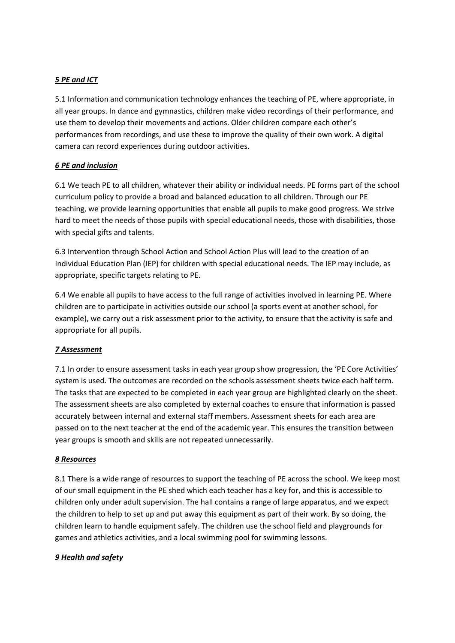# *5 PE and ICT*

5.1 Information and communication technology enhances the teaching of PE, where appropriate, in all year groups. In dance and gymnastics, children make video recordings of their performance, and use them to develop their movements and actions. Older children compare each other's performances from recordings, and use these to improve the quality of their own work. A digital camera can record experiences during outdoor activities.

# *6 PE and inclusion*

6.1 We teach PE to all children, whatever their ability or individual needs. PE forms part of the school curriculum policy to provide a broad and balanced education to all children. Through our PE teaching, we provide learning opportunities that enable all pupils to make good progress. We strive hard to meet the needs of those pupils with special educational needs, those with disabilities, those with special gifts and talents.

6.3 Intervention through School Action and School Action Plus will lead to the creation of an Individual Education Plan (IEP) for children with special educational needs. The IEP may include, as appropriate, specific targets relating to PE.

6.4 We enable all pupils to have access to the full range of activities involved in learning PE. Where children are to participate in activities outside our school (a sports event at another school, for example), we carry out a risk assessment prior to the activity, to ensure that the activity is safe and appropriate for all pupils.

# *7 Assessment*

7.1 In order to ensure assessment tasks in each year group show progression, the 'PE Core Activities' system is used. The outcomes are recorded on the schools assessment sheets twice each half term. The tasks that are expected to be completed in each year group are highlighted clearly on the sheet. The assessment sheets are also completed by external coaches to ensure that information is passed accurately between internal and external staff members. Assessment sheets for each area are passed on to the next teacher at the end of the academic year. This ensures the transition between year groups is smooth and skills are not repeated unnecessarily.

# *8 Resources*

8.1 There is a wide range of resources to support the teaching of PE across the school. We keep most of our small equipment in the PE shed which each teacher has a key for, and this is accessible to children only under adult supervision. The hall contains a range of large apparatus, and we expect the children to help to set up and put away this equipment as part of their work. By so doing, the children learn to handle equipment safely. The children use the school field and playgrounds for games and athletics activities, and a local swimming pool for swimming lessons.

# *9 Health and safety*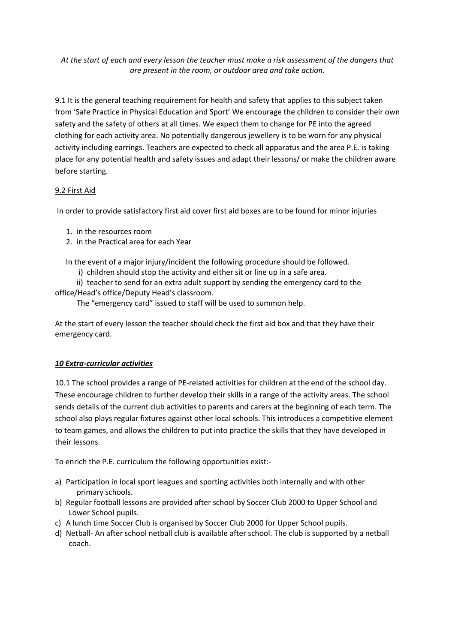*At the start of each and every lesson the teacher must make a risk assessment of the dangers that are present in the room, or outdoor area and take action.* 

9.1 It is the general teaching requirement for health and safety that applies to this subject taken from 'Safe Practice in Physical Education and Sport' We encourage the children to consider their own safety and the safety of others at all times. We expect them to change for PE into the agreed clothing for each activity area. No potentially dangerous jewellery is to be worn for any physical activity including earrings. Teachers are expected to check all apparatus and the area P.E. is taking place for any potential health and safety issues and adapt their lessons/ or make the children aware before starting.

# 9.2 First Aid

In order to provide satisfactory first aid cover first aid boxes are to be found for minor injuries

- 1. in the resources room
- 2. in the Practical area for each Year

In the event of a major injury/incident the following procedure should be followed.

i) children should stop the activity and either sit or line up in a safe area.

ii) teacher to send for an extra adult support by sending the emergency card to the office/Head's office/Deputy Head's classroom.

The "emergency card" issued to staff will be used to summon help.

At the start of every lesson the teacher should check the first aid box and that they have their emergency card.

# *10 Extra-curricular activities*

10.1 The school provides a range of PE-related activities for children at the end of the school day. These encourage children to further develop their skills in a range of the activity areas. The school sends details of the current club activities to parents and carers at the beginning of each term. The school also plays regular fixtures against other local schools. This introduces a competitive element to team games, and allows the children to put into practice the skills that they have developed in their lessons.

To enrich the P.E. curriculum the following opportunities exist:-

- a) Participation in local sport leagues and sporting activities both internally and with other primary schools.
- b) Regular football lessons are provided after school by Soccer Club 2000 to Upper School and Lower School pupils.
- c) A lunch time Soccer Club is organised by Soccer Club 2000 for Upper School pupils.
- d) Netball- An after school netball club is available after school. The club is supported by a netball coach.